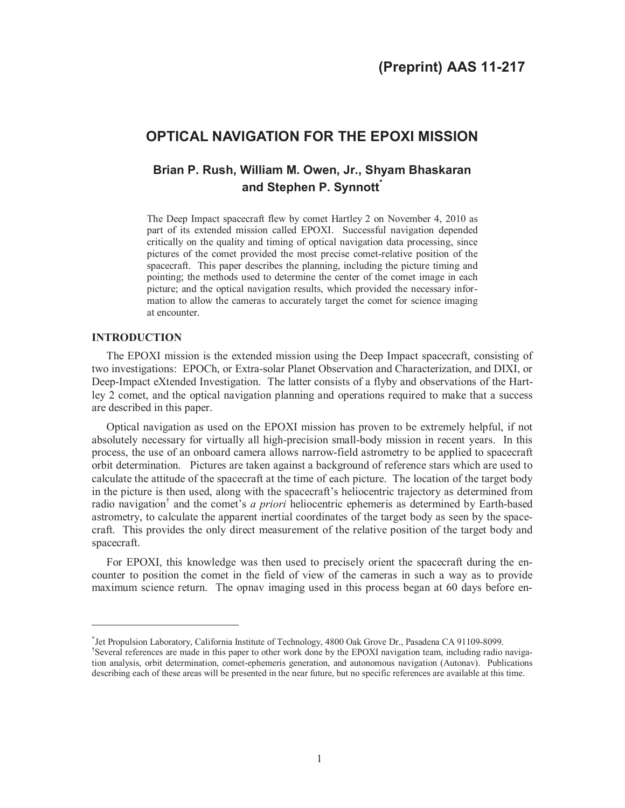# **OPTICAL NAVIGATION FOR THE EPOXI MISSION**

## **Brian P. Rush, William M. Owen, Jr., Shyam Bhaskaran and Stephen P. Synnott\***

The Deep Impact spacecraft flew by comet Hartley 2 on November 4, 2010 as part of its extended mission called EPOXI. Successful navigation depended critically on the quality and timing of optical navigation data processing, since pictures of the comet provided the most precise comet-relative position of the spacecraft. This paper describes the planning, including the picture timing and pointing; the methods used to determine the center of the comet image in each picture; and the optical navigation results, which provided the necessary information to allow the cameras to accurately target the comet for science imaging at encounter.

### **INTRODUCTION**

-

The EPOXI mission is the extended mission using the Deep Impact spacecraft, consisting of two investigations: EPOCh, or Extra-solar Planet Observation and Characterization, and DIXI, or Deep-Impact eXtended Investigation. The latter consists of a flyby and observations of the Hartley 2 comet, and the optical navigation planning and operations required to make that a success are described in this paper.

Optical navigation as used on the EPOXI mission has proven to be extremely helpful, if not absolutely necessary for virtually all high-precision small-body mission in recent years. In this process, the use of an onboard camera allows narrow-field astrometry to be applied to spacecraft orbit determination. Pictures are taken against a background of reference stars which are used to calculate the attitude of the spacecraft at the time of each picture. The location of the target body in the picture is then used, along with the spacecraft's heliocentric trajectory as determined from radio navigation† and the comet's *a priori* heliocentric ephemeris as determined by Earth-based astrometry, to calculate the apparent inertial coordinates of the target body as seen by the spacecraft. This provides the only direct measurement of the relative position of the target body and spacecraft.

For EPOXI, this knowledge was then used to precisely orient the spacecraft during the encounter to position the comet in the field of view of the cameras in such a way as to provide maximum science return. The opnav imaging used in this process began at 60 days before en-

<sup>\*</sup> Jet Propulsion Laboratory, California Institute of Technology, 4800 Oak Grove Dr., Pasadena CA 91109-8099.

<sup>†</sup> Several references are made in this paper to other work done by the EPOXI navigation team, including radio navigation analysis, orbit determination, comet-ephemeris generation, and autonomous navigation (Autonav). Publications describing each of these areas will be presented in the near future, but no specific references are available at this time.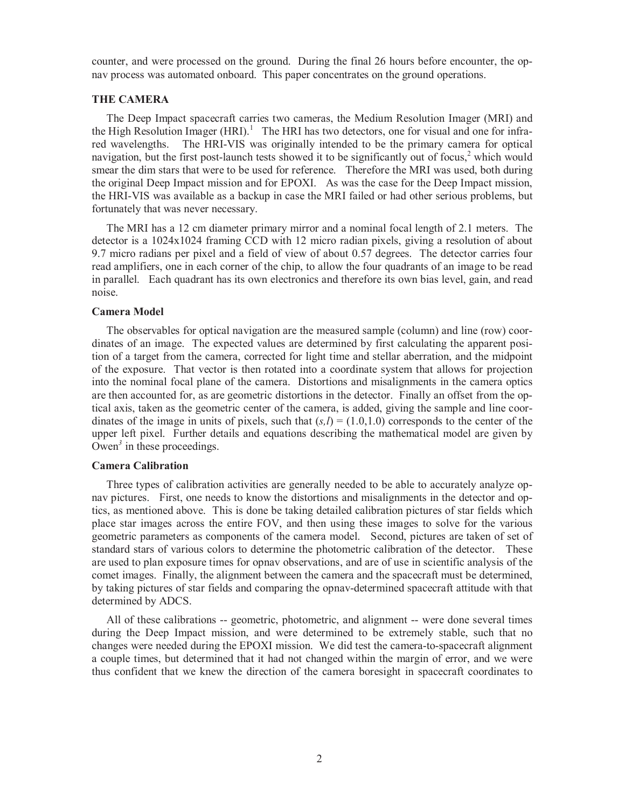counter, and were processed on the ground. During the final 26 hours before encounter, the opnav process was automated onboard. This paper concentrates on the ground operations.

### **THE CAMERA**

The Deep Impact spacecraft carries two cameras, the Medium Resolution Imager (MRI) and the High Resolution Imager (HRI).<sup>1</sup> The HRI has two detectors, one for visual and one for infrared wavelengths. The HRI-VIS was originally intended to be the primary camera for optical navigation, but the first post-launch tests showed it to be significantly out of focus,<sup>2</sup> which would smear the dim stars that were to be used for reference. Therefore the MRI was used, both during the original Deep Impact mission and for EPOXI. As was the case for the Deep Impact mission, the HRI-VIS was available as a backup in case the MRI failed or had other serious problems, but fortunately that was never necessary.

The MRI has a 12 cm diameter primary mirror and a nominal focal length of 2.1 meters. The detector is a 1024x1024 framing CCD with 12 micro radian pixels, giving a resolution of about 9.7 micro radians per pixel and a field of view of about 0.57 degrees. The detector carries four read amplifiers, one in each corner of the chip, to allow the four quadrants of an image to be read in parallel. Each quadrant has its own electronics and therefore its own bias level, gain, and read noise.

#### **Camera Model**

The observables for optical navigation are the measured sample (column) and line (row) coordinates of an image. The expected values are determined by first calculating the apparent position of a target from the camera, corrected for light time and stellar aberration, and the midpoint of the exposure. That vector is then rotated into a coordinate system that allows for projection into the nominal focal plane of the camera. Distortions and misalignments in the camera optics are then accounted for, as are geometric distortions in the detector. Finally an offset from the optical axis, taken as the geometric center of the camera, is added, giving the sample and line coordinates of the image in units of pixels, such that  $(s,l) = (1.0,1.0)$  corresponds to the center of the upper left pixel. Further details and equations describing the mathematical model are given by Owen<sup>3</sup> in these proceedings.

#### **Camera Calibration**

Three types of calibration activities are generally needed to be able to accurately analyze opnav pictures. First, one needs to know the distortions and misalignments in the detector and optics, as mentioned above. This is done be taking detailed calibration pictures of star fields which place star images across the entire FOV, and then using these images to solve for the various geometric parameters as components of the camera model. Second, pictures are taken of set of standard stars of various colors to determine the photometric calibration of the detector. These are used to plan exposure times for opnav observations, and are of use in scientific analysis of the comet images. Finally, the alignment between the camera and the spacecraft must be determined, by taking pictures of star fields and comparing the opnav-determined spacecraft attitude with that determined by ADCS.

All of these calibrations -- geometric, photometric, and alignment -- were done several times during the Deep Impact mission, and were determined to be extremely stable, such that no changes were needed during the EPOXI mission. We did test the camera-to-spacecraft alignment a couple times, but determined that it had not changed within the margin of error, and we were thus confident that we knew the direction of the camera boresight in spacecraft coordinates to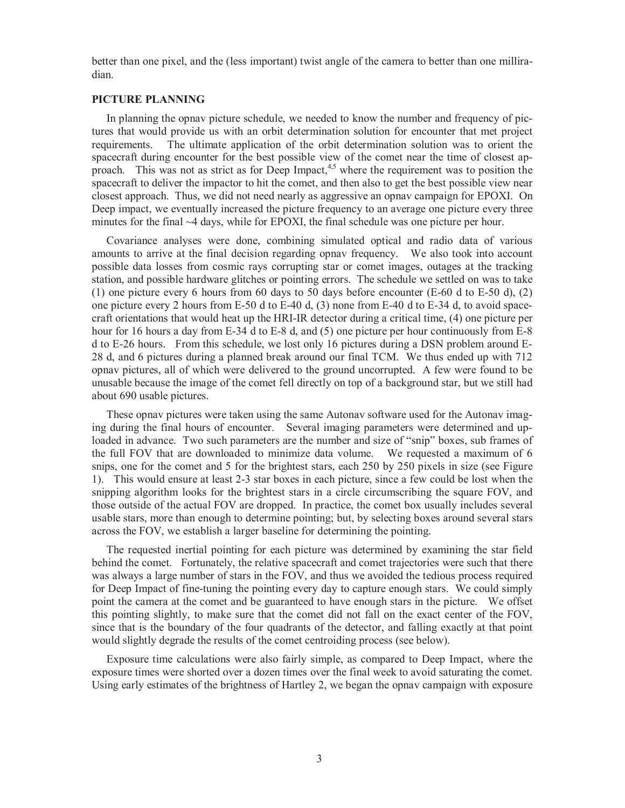better than one pixel, and the (less important) twist angle of the camera to better than one milliradian.

### **PICTURE PLANNING**

In planning the opnav picture schedule, we needed to know the number and frequency of pictures that would provide us with an orbit determination solution for encounter that met project requirements. The ultimate application of the orbit determination solution was to orient the spacecraft during encounter for the best possible view of the comet near the time of closest approach. This was not as strict as for Deep Impact,  $4.5$  where the requirement was to position the spacecraft to deliver the impactor to hit the comet, and then also to get the best possible view near closest approach. Thus, we did not need nearly as aggressive an opnav campaign for EPOXI. On Deep impact, we eventually increased the picture frequency to an average one picture every three minutes for the final ~4 days, while for EPOXI, the final schedule was one picture per hour.

Covariance analyses were done, combining simulated optical and radio data of various amounts to arrive at the final decision regarding opnav frequency. We also took into account possible data losses from cosmic rays corrupting star or comet images, outages at the tracking station, and possible hardware glitches or pointing errors. The schedule we settled on was to take (1) one picture every 6 hours from 60 days to 50 days before encounter  $(E-60 d$  to E-50 d), (2) one picture every 2 hours from E-50 d to E-40 d, (3) none from E-40 d to E-34 d, to avoid spacecraft orientations that would heat up the HRI-IR detector during a critical time, (4) one picture per hour for 16 hours a day from E-34 d to E-8 d, and (5) one picture per hour continuously from E-8 d to E-26 hours. From this schedule, we lost only 16 pictures during a DSN problem around E-28 d, and 6 pictures during a planned break around our final TCM. We thus ended up with 712 opnav pictures, all of which were delivered to the ground uncorrupted. A few were found to be unusable because the image of the comet fell directly on top of a background star, but we still had about 690 usable pictures.

These opnav pictures were taken using the same Autonav software used for the Autonav imaging during the final hours of encounter. Several imaging parameters were determined and uploaded in advance. Two such parameters are the number and size of "snip" boxes, sub frames of the full FOV that are downloaded to minimize data volume. We requested a maximum of 6 snips, one for the comet and 5 for the brightest stars, each 250 by 250 pixels in size (see Figure 1). This would ensure at least 2-3 star boxes in each picture, since a few could be lost when the snipping algorithm looks for the brightest stars in a circle circumscribing the square FOV, and those outside of the actual FOV are dropped. In practice, the comet box usually includes several usable stars, more than enough to determine pointing; but, by selecting boxes around several stars across the FOV, we establish a larger baseline for determining the pointing.

The requested inertial pointing for each picture was determined by examining the star field behind the comet. Fortunately, the relative spacecraft and comet trajectories were such that there was always a large number of stars in the FOV, and thus we avoided the tedious process required for Deep Impact of fine-tuning the pointing every day to capture enough stars. We could simply point the camera at the comet and be guaranteed to have enough stars in the picture. We offset this pointing slightly, to make sure that the comet did not fall on the exact center of the FOV, since that is the boundary of the four quadrants of the detector, and falling exactly at that point would slightly degrade the results of the comet centroiding process (see below).

Exposure time calculations were also fairly simple, as compared to Deep Impact, where the exposure times were shorted over a dozen times over the final week to avoid saturating the comet. Using early estimates of the brightness of Hartley 2, we began the opnav campaign with exposure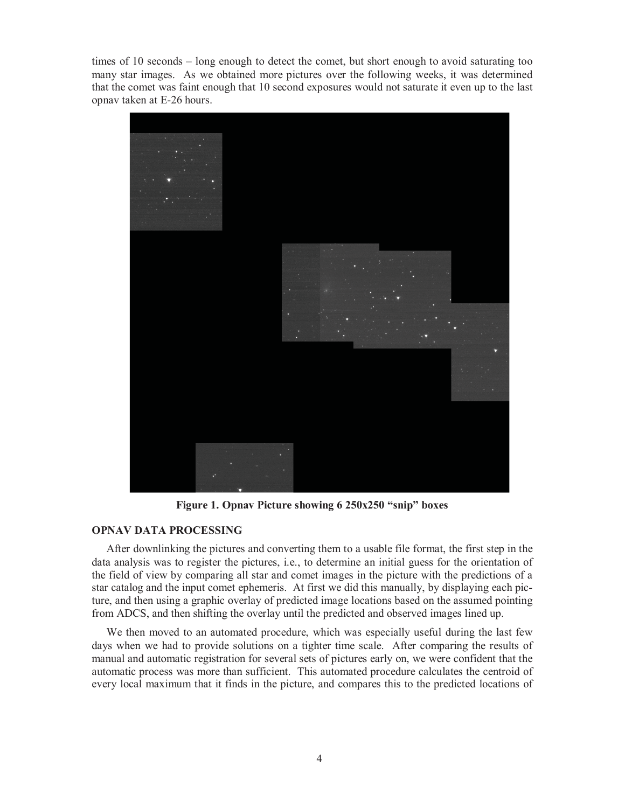times of 10 seconds – long enough to detect the comet, but short enough to avoid saturating too many star images. As we obtained more pictures over the following weeks, it was determined that the comet was faint enough that 10 second exposures would not saturate it even up to the last opnav taken at E-26 hours.



**Figure 1. Opnav Picture showing 6 250x250 "snip" boxes** 

### **OPNAV DATA PROCESSING**

After downlinking the pictures and converting them to a usable file format, the first step in the data analysis was to register the pictures, i.e., to determine an initial guess for the orientation of the field of view by comparing all star and comet images in the picture with the predictions of a star catalog and the input comet ephemeris. At first we did this manually, by displaying each picture, and then using a graphic overlay of predicted image locations based on the assumed pointing from ADCS, and then shifting the overlay until the predicted and observed images lined up.

We then moved to an automated procedure, which was especially useful during the last few days when we had to provide solutions on a tighter time scale. After comparing the results of manual and automatic registration for several sets of pictures early on, we were confident that the automatic process was more than sufficient. This automated procedure calculates the centroid of every local maximum that it finds in the picture, and compares this to the predicted locations of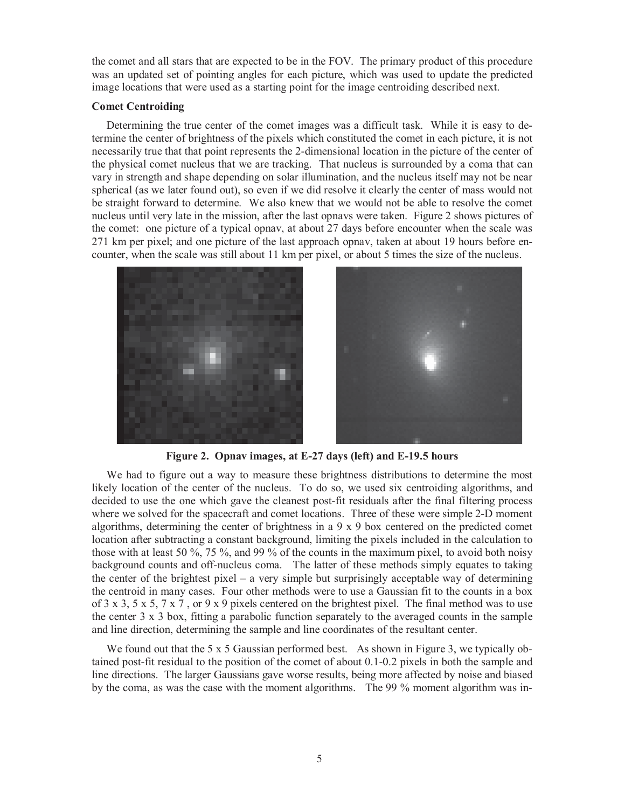the comet and all stars that are expected to be in the FOV. The primary product of this procedure was an updated set of pointing angles for each picture, which was used to update the predicted image locations that were used as a starting point for the image centroiding described next.

### **Comet Centroiding**

Determining the true center of the comet images was a difficult task. While it is easy to determine the center of brightness of the pixels which constituted the comet in each picture, it is not necessarily true that that point represents the 2-dimensional location in the picture of the center of the physical comet nucleus that we are tracking. That nucleus is surrounded by a coma that can vary in strength and shape depending on solar illumination, and the nucleus itself may not be near spherical (as we later found out), so even if we did resolve it clearly the center of mass would not be straight forward to determine. We also knew that we would not be able to resolve the comet nucleus until very late in the mission, after the last opnavs were taken. Figure 2 shows pictures of the comet: one picture of a typical opnav, at about 27 days before encounter when the scale was 271 km per pixel; and one picture of the last approach opnav, taken at about 19 hours before encounter, when the scale was still about 11 km per pixel, or about 5 times the size of the nucleus.



**Figure 2. Opnav images, at E-27 days (left) and E-19.5 hours** 

We had to figure out a way to measure these brightness distributions to determine the most likely location of the center of the nucleus. To do so, we used six centroiding algorithms, and decided to use the one which gave the cleanest post-fit residuals after the final filtering process where we solved for the spacecraft and comet locations. Three of these were simple 2-D moment algorithms, determining the center of brightness in a  $9 \times 9$  box centered on the predicted comet location after subtracting a constant background, limiting the pixels included in the calculation to those with at least 50 %, 75 %, and 99 % of the counts in the maximum pixel, to avoid both noisy background counts and off-nucleus coma. The latter of these methods simply equates to taking the center of the brightest pixel – a very simple but surprisingly acceptable way of determining the centroid in many cases. Four other methods were to use a Gaussian fit to the counts in a box of  $3 \times 3$ ,  $5 \times 5$ ,  $7 \times 7$ , or  $9 \times 9$  pixels centered on the brightest pixel. The final method was to use the center 3 x 3 box, fitting a parabolic function separately to the averaged counts in the sample and line direction, determining the sample and line coordinates of the resultant center.

We found out that the 5 x 5 Gaussian performed best. As shown in Figure 3, we typically obtained post-fit residual to the position of the comet of about 0.1-0.2 pixels in both the sample and line directions. The larger Gaussians gave worse results, being more affected by noise and biased by the coma, as was the case with the moment algorithms. The 99 % moment algorithm was in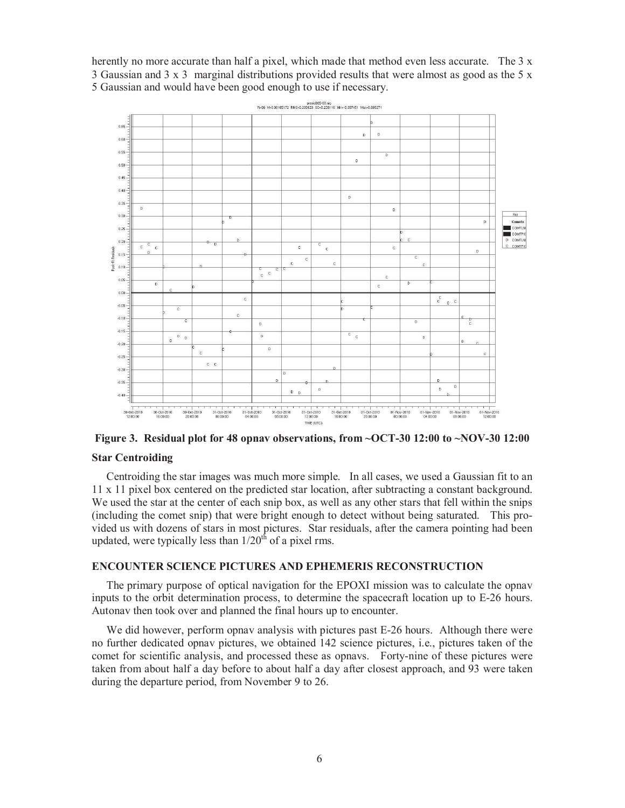herently no more accurate than half a pixel, which made that method even less accurate. The 3 x 3 Gaussian and 3 x 3 marginal distributions provided results that were almost as good as the 5 x 5 Gaussian and would have been good enough to use if necessary.



**Figure 3. Residual plot for 48 opnav observations, from ~OCT-30 12:00 to ~NOV-30 12:00** 

### **Star Centroiding**

Centroiding the star images was much more simple. In all cases, we used a Gaussian fit to an 11 x 11 pixel box centered on the predicted star location, after subtracting a constant background. We used the star at the center of each snip box, as well as any other stars that fell within the snips (including the comet snip) that were bright enough to detect without being saturated. This provided us with dozens of stars in most pictures. Star residuals, after the camera pointing had been updated, were typically less than  $1/20<sup>th</sup>$  of a pixel rms.

### **ENCOUNTER SCIENCE PICTURES AND EPHEMERIS RECONSTRUCTION**

The primary purpose of optical navigation for the EPOXI mission was to calculate the opnav inputs to the orbit determination process, to determine the spacecraft location up to E-26 hours. Autonav then took over and planned the final hours up to encounter.

We did however, perform opnav analysis with pictures past E-26 hours. Although there were no further dedicated opnav pictures, we obtained 142 science pictures, i.e., pictures taken of the comet for scientific analysis, and processed these as opnavs. Forty-nine of these pictures were taken from about half a day before to about half a day after closest approach, and 93 were taken during the departure period, from November 9 to 26.